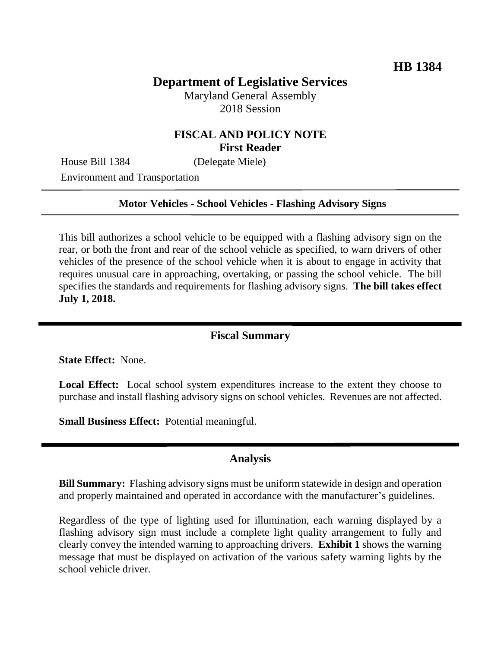# **Department of Legislative Services**

Maryland General Assembly 2018 Session

# **FISCAL AND POLICY NOTE First Reader**

House Bill 1384 (Delegate Miele)

Environment and Transportation

#### **Motor Vehicles - School Vehicles - Flashing Advisory Signs**

This bill authorizes a school vehicle to be equipped with a flashing advisory sign on the rear, or both the front and rear of the school vehicle as specified, to warn drivers of other vehicles of the presence of the school vehicle when it is about to engage in activity that requires unusual care in approaching, overtaking, or passing the school vehicle. The bill specifies the standards and requirements for flashing advisory signs. **The bill takes effect July 1, 2018.**

#### **Fiscal Summary**

**State Effect:** None.

Local Effect: Local school system expenditures increase to the extent they choose to purchase and install flashing advisory signs on school vehicles. Revenues are not affected.

**Small Business Effect:** Potential meaningful.

#### **Analysis**

**Bill Summary:** Flashing advisory signs must be uniform statewide in design and operation and properly maintained and operated in accordance with the manufacturer's guidelines.

Regardless of the type of lighting used for illumination, each warning displayed by a flashing advisory sign must include a complete light quality arrangement to fully and clearly convey the intended warning to approaching drivers. **Exhibit 1** shows the warning message that must be displayed on activation of the various safety warning lights by the school vehicle driver.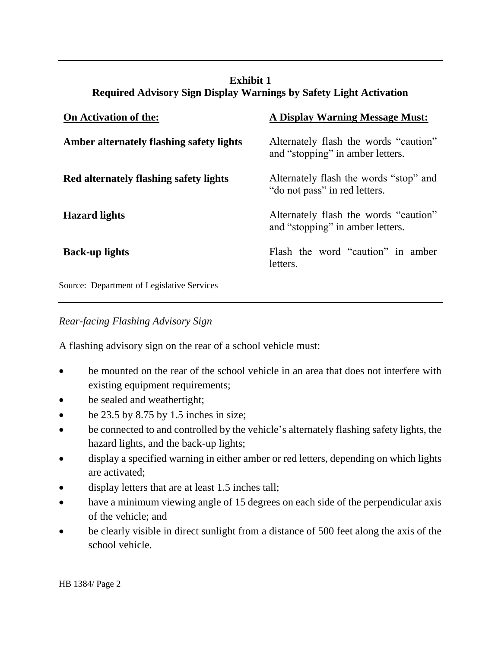# **Exhibit 1 Required Advisory Sign Display Warnings by Safety Light Activation**

| <b>On Activation of the:</b>               | <b>A Display Warning Message Must:</b>                                    |
|--------------------------------------------|---------------------------------------------------------------------------|
| Amber alternately flashing safety lights   | Alternately flash the words "caution"<br>and "stopping" in amber letters. |
| Red alternately flashing safety lights     | Alternately flash the words "stop" and<br>"do not pass" in red letters.   |
| <b>Hazard lights</b>                       | Alternately flash the words "caution"<br>and "stopping" in amber letters. |
| <b>Back-up lights</b>                      | Flash the word "caution" in amber<br>letters.                             |
| Source: Department of Legislative Services |                                                                           |

*Rear-facing Flashing Advisory Sign* 

A flashing advisory sign on the rear of a school vehicle must:

- be mounted on the rear of the school vehicle in an area that does not interfere with existing equipment requirements;
- be sealed and weathertight;
- $\bullet$  be 23.5 by 8.75 by 1.5 inches in size;
- be connected to and controlled by the vehicle's alternately flashing safety lights, the hazard lights, and the back-up lights;
- display a specified warning in either amber or red letters, depending on which lights are activated;
- display letters that are at least 1.5 inches tall;
- have a minimum viewing angle of 15 degrees on each side of the perpendicular axis of the vehicle; and
- be clearly visible in direct sunlight from a distance of 500 feet along the axis of the school vehicle.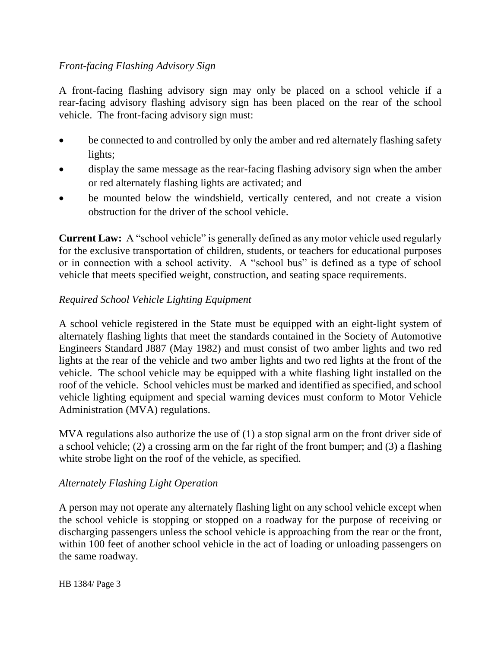# *Front-facing Flashing Advisory Sign*

A front-facing flashing advisory sign may only be placed on a school vehicle if a rear-facing advisory flashing advisory sign has been placed on the rear of the school vehicle. The front-facing advisory sign must:

- be connected to and controlled by only the amber and red alternately flashing safety lights;
- display the same message as the rear-facing flashing advisory sign when the amber or red alternately flashing lights are activated; and
- be mounted below the windshield, vertically centered, and not create a vision obstruction for the driver of the school vehicle.

**Current Law:** A "school vehicle" is generally defined as any motor vehicle used regularly for the exclusive transportation of children, students, or teachers for educational purposes or in connection with a school activity. A "school bus" is defined as a type of school vehicle that meets specified weight, construction, and seating space requirements.

# *Required School Vehicle Lighting Equipment*

A school vehicle registered in the State must be equipped with an eight-light system of alternately flashing lights that meet the standards contained in the Society of Automotive Engineers Standard J887 (May 1982) and must consist of two amber lights and two red lights at the rear of the vehicle and two amber lights and two red lights at the front of the vehicle. The school vehicle may be equipped with a white flashing light installed on the roof of the vehicle. School vehicles must be marked and identified as specified, and school vehicle lighting equipment and special warning devices must conform to Motor Vehicle Administration (MVA) regulations.

MVA regulations also authorize the use of (1) a stop signal arm on the front driver side of a school vehicle; (2) a crossing arm on the far right of the front bumper; and (3) a flashing white strobe light on the roof of the vehicle, as specified.

#### *Alternately Flashing Light Operation*

A person may not operate any alternately flashing light on any school vehicle except when the school vehicle is stopping or stopped on a roadway for the purpose of receiving or discharging passengers unless the school vehicle is approaching from the rear or the front, within 100 feet of another school vehicle in the act of loading or unloading passengers on the same roadway.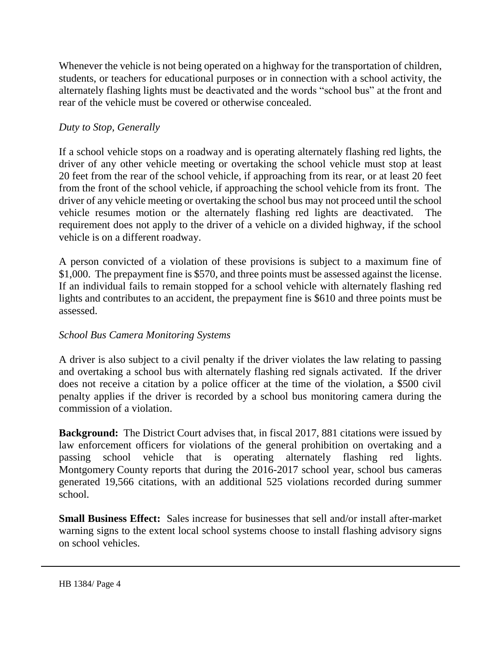Whenever the vehicle is not being operated on a highway for the transportation of children, students, or teachers for educational purposes or in connection with a school activity, the alternately flashing lights must be deactivated and the words "school bus" at the front and rear of the vehicle must be covered or otherwise concealed.

#### *Duty to Stop, Generally*

If a school vehicle stops on a roadway and is operating alternately flashing red lights, the driver of any other vehicle meeting or overtaking the school vehicle must stop at least 20 feet from the rear of the school vehicle, if approaching from its rear, or at least 20 feet from the front of the school vehicle, if approaching the school vehicle from its front. The driver of any vehicle meeting or overtaking the school bus may not proceed until the school vehicle resumes motion or the alternately flashing red lights are deactivated. The requirement does not apply to the driver of a vehicle on a divided highway, if the school vehicle is on a different roadway.

A person convicted of a violation of these provisions is subject to a maximum fine of \$1,000. The prepayment fine is \$570, and three points must be assessed against the license. If an individual fails to remain stopped for a school vehicle with alternately flashing red lights and contributes to an accident, the prepayment fine is \$610 and three points must be assessed.

#### *School Bus Camera Monitoring Systems*

A driver is also subject to a civil penalty if the driver violates the law relating to passing and overtaking a school bus with alternately flashing red signals activated. If the driver does not receive a citation by a police officer at the time of the violation, a \$500 civil penalty applies if the driver is recorded by a school bus monitoring camera during the commission of a violation.

**Background:** The District Court advises that, in fiscal 2017, 881 citations were issued by law enforcement officers for violations of the general prohibition on overtaking and a passing school vehicle that is operating alternately flashing red lights. Montgomery County reports that during the 2016-2017 school year, school bus cameras generated 19,566 citations, with an additional 525 violations recorded during summer school.

**Small Business Effect:** Sales increase for businesses that sell and/or install after-market warning signs to the extent local school systems choose to install flashing advisory signs on school vehicles.